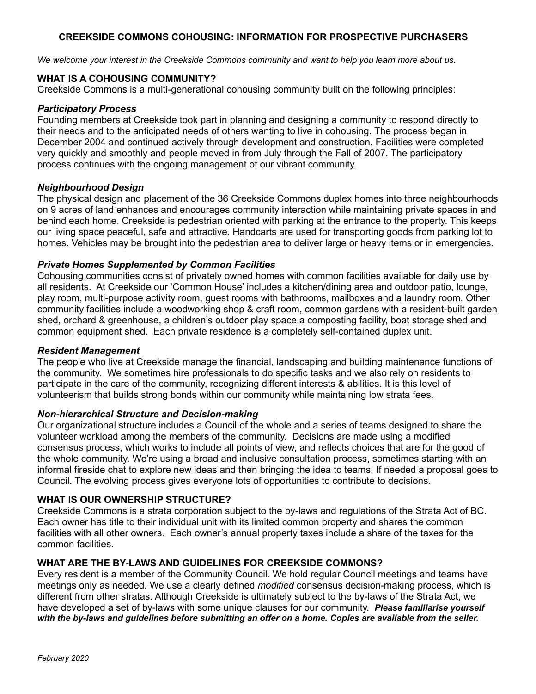# **CREEKSIDE COMMONS COHOUSING: INFORMATION FOR PROSPECTIVE PURCHASERS**

*We welcome your interest in the Creekside Commons community and want to help you learn more about us.*

### **WHAT IS A COHOUSING COMMUNITY?**

Creekside Commons is a multi-generational cohousing community built on the following principles:

#### *Participatory Process*

Founding members at Creekside took part in planning and designing a community to respond directly to their needs and to the anticipated needs of others wanting to live in cohousing. The process began in December 2004 and continued actively through development and construction. Facilities were completed very quickly and smoothly and people moved in from July through the Fall of 2007. The participatory process continues with the ongoing management of our vibrant community.

### *Neighbourhood Design*

The physical design and placement of the 36 Creekside Commons duplex homes into three neighbourhoods on 9 acres of land enhances and encourages community interaction while maintaining private spaces in and behind each home. Creekside is pedestrian oriented with parking at the entrance to the property. This keeps our living space peaceful, safe and attractive. Handcarts are used for transporting goods from parking lot to homes. Vehicles may be brought into the pedestrian area to deliver large or heavy items or in emergencies.

# *Private Homes Supplemented by Common Facilities*

Cohousing communities consist of privately owned homes with common facilities available for daily use by all residents. At Creekside our 'Common House' includes a kitchen/dining area and outdoor patio, lounge, play room, multi-purpose activity room, guest rooms with bathrooms, mailboxes and a laundry room. Other community facilities include a woodworking shop & craft room, common gardens with a resident-built garden shed, orchard & greenhouse, a children's outdoor play space,a composting facility, boat storage shed and common equipment shed. Each private residence is a completely self-contained duplex unit.

#### *Resident Management*

The people who live at Creekside manage the financial, landscaping and building maintenance functions of the community. We sometimes hire professionals to do specific tasks and we also rely on residents to participate in the care of the community, recognizing different interests & abilities. It is this level of volunteerism that builds strong bonds within our community while maintaining low strata fees.

# *Non-hierarchical Structure and Decision-making*

Our organizational structure includes a Council of the whole and a series of teams designed to share the volunteer workload among the members of the community. Decisions are made using a modified consensus process, which works to include all points of view, and reflects choices that are for the good of the whole community. We're using a broad and inclusive consultation process, sometimes starting with an informal fireside chat to explore new ideas and then bringing the idea to teams. If needed a proposal goes to Council. The evolving process gives everyone lots of opportunities to contribute to decisions.

#### **WHAT IS OUR OWNERSHIP STRUCTURE?**

Creekside Commons is a strata corporation subject to the by-laws and regulations of the Strata Act of BC. Each owner has title to their individual unit with its limited common property and shares the common facilities with all other owners. Each owner's annual property taxes include a share of the taxes for the common facilities.

# **WHAT ARE THE BY-LAWS AND GUIDELINES FOR CREEKSIDE COMMONS?**

Every resident is a member of the Community Council. We hold regular Council meetings and teams have meetings only as needed. We use a clearly defined *modified* consensus decision-making process, which is different from other stratas. Although Creekside is ultimately subject to the by-laws of the Strata Act, we have developed a set of by-laws with some unique clauses for our community. *Please familiarise yourself with the by-laws and guidelines before submitting an offer on a home. Copies are available from the seller.*